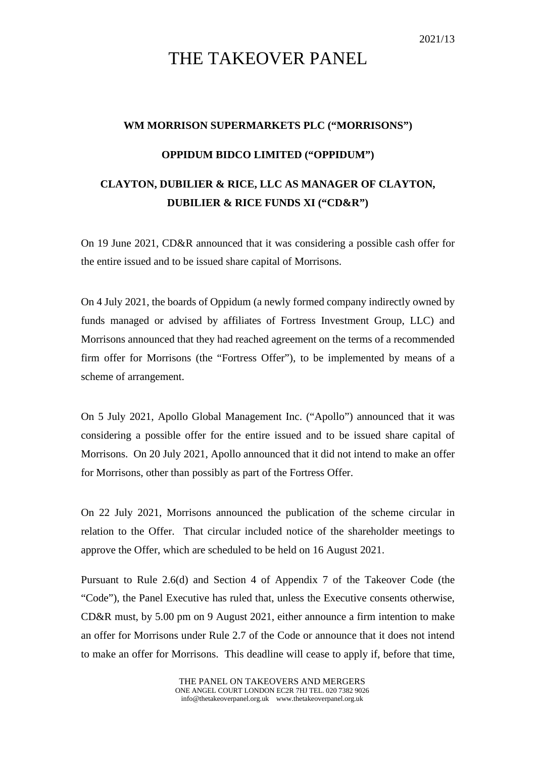## THE TAKEOVER PANEL

## **WM MORRISON SUPERMARKETS PLC ("MORRISONS") OPPIDUM BIDCO LIMITED ("OPPIDUM") CLAYTON, DUBILIER & RICE, LLC AS MANAGER OF CLAYTON, DUBILIER & RICE FUNDS XI ("CD&R")**

On 19 June 2021, CD&R announced that it was considering a possible cash offer for the entire issued and to be issued share capital of Morrisons.

On 4 July 2021, the boards of Oppidum (a newly formed company indirectly owned by funds managed or advised by affiliates of Fortress Investment Group, LLC) and Morrisons announced that they had reached agreement on the terms of a recommended firm offer for Morrisons (the "Fortress Offer"), to be implemented by means of a scheme of arrangement.

On 5 July 2021, Apollo Global Management Inc. ("Apollo") announced that it was considering a possible offer for the entire issued and to be issued share capital of Morrisons. On 20 July 2021, Apollo announced that it did not intend to make an offer for Morrisons, other than possibly as part of the Fortress Offer.

On 22 July 2021, Morrisons announced the publication of the scheme circular in relation to the Offer. That circular included notice of the shareholder meetings to approve the Offer, which are scheduled to be held on 16 August 2021.

Pursuant to Rule 2.6(d) and Section 4 of Appendix 7 of the Takeover Code (the "Code"), the Panel Executive has ruled that, unless the Executive consents otherwise, CD&R must, by 5.00 pm on 9 August 2021, either announce a firm intention to make an offer for Morrisons under Rule 2.7 of the Code or announce that it does not intend to make an offer for Morrisons. This deadline will cease to apply if, before that time,